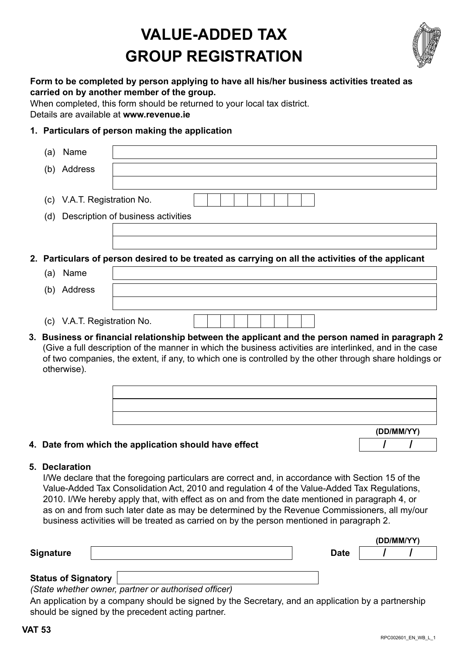# **VALUE-ADDED TAX GROUP REGISTRATION**



#### **Form to be completed by person applying to have all his/her business activities treated as carried on by another member of the group.**

When completed, this form should be returned to your local tax district.

Details are available at **[www.revenue.ie](http://www.revenue.ie/en/index.html)**

### **1. Particulars of person making the application**

| (a)                                                                                               | Name                        |                                                                                                                                                                                                                                                                                                                        |  |  |  |  |  |
|---------------------------------------------------------------------------------------------------|-----------------------------|------------------------------------------------------------------------------------------------------------------------------------------------------------------------------------------------------------------------------------------------------------------------------------------------------------------------|--|--|--|--|--|
| (b)                                                                                               | Address                     |                                                                                                                                                                                                                                                                                                                        |  |  |  |  |  |
|                                                                                                   |                             |                                                                                                                                                                                                                                                                                                                        |  |  |  |  |  |
| (C)                                                                                               | V.A.T. Registration No.     |                                                                                                                                                                                                                                                                                                                        |  |  |  |  |  |
| Description of business activities<br>(d)                                                         |                             |                                                                                                                                                                                                                                                                                                                        |  |  |  |  |  |
|                                                                                                   |                             |                                                                                                                                                                                                                                                                                                                        |  |  |  |  |  |
|                                                                                                   |                             |                                                                                                                                                                                                                                                                                                                        |  |  |  |  |  |
| 2. Particulars of person desired to be treated as carrying on all the activities of the applicant |                             |                                                                                                                                                                                                                                                                                                                        |  |  |  |  |  |
| (a)                                                                                               | Name                        |                                                                                                                                                                                                                                                                                                                        |  |  |  |  |  |
| (b)                                                                                               | Address                     |                                                                                                                                                                                                                                                                                                                        |  |  |  |  |  |
|                                                                                                   |                             |                                                                                                                                                                                                                                                                                                                        |  |  |  |  |  |
|                                                                                                   | (c) V.A.T. Registration No. |                                                                                                                                                                                                                                                                                                                        |  |  |  |  |  |
|                                                                                                   |                             | 3. Business or financial relationship between the applicant and the person named in paragraph 2<br>(Give a full description of the manner in which the business activities are interlinked, and in the case<br>of two companies, the extent, if any, to which one is controlled by the other through share holdings or |  |  |  |  |  |

|  | (DD/MM/YY) |
|--|------------|
|  |            |
|  |            |
|  |            |

#### **4. Date from which the application should have effect**

#### **5. Declaration**

I/We declare that the foregoing particulars are correct and, in accordance with Section 15 of the Value-Added Tax Consolidation Act, 2010 and regulation 4 of the Value-Added Tax Regulations, 2010. I/We hereby apply that, with effect as on and from the date mentioned in paragraph 4, or as on and from such later date as may be determined by the Revenue Commissioners, all my/our business activities will be treated as carried on by the person mentioned in paragraph 2.

|                              |  |             | (DD/MM/YY) |  |
|------------------------------|--|-------------|------------|--|
| <b>Signature</b>             |  | <b>Date</b> |            |  |
|                              |  |             |            |  |
| $\sim$ $\sim$ $\sim$<br>$-1$ |  |             |            |  |

#### **Status of Signatory**

*(State whether owner, partner or authorised officer)*

An application by a company should be signed by the Secretary, and an application by a partnership should be signed by the precedent acting partner.

**/ /**